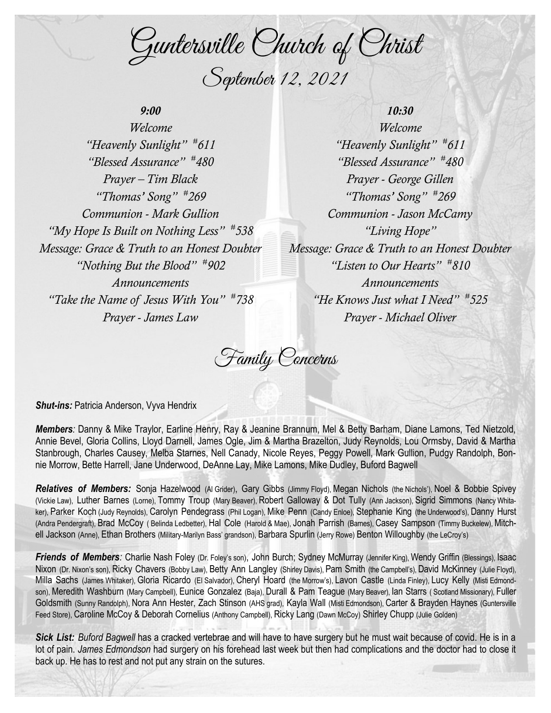Guntersville Church of Christ September 12, 2021

## *9:00*

*Welcome "Heavenly Sunlight" # 611 "Blessed Assurance" # 480 Prayer – Tim Black "Thomas' Song" # 269 Communion - Mark Gullion "My Hope Is Built on Nothing Less" # 538 Message: Grace & Truth to an Honest Doubter "Nothing But the Blood" # 902 Announcements "Take the Name of Jesus With You" # 738 Prayer - James Law*

## *10:30 Welcome "Heavenly Sunlight" # 611 "Blessed Assurance" # 480 Prayer - George Gillen "Thomas' Song" # 269 Communion - Jason McCamy "Living Hope" Message: Grace & Truth to an Honest Doubter "Listen to Our Hearts" # 810 Announcements "He Knows Just what I Need" # 525 Prayer - Michael Oliver*

Family Concerns

**Shut-ins: Patricia Anderson, Vyva Hendrix** 

*Members:* Danny & Mike Traylor, Earline Henry, Ray & Jeanine Brannum, Mel & Betty Barham, Diane Lamons, Ted Nietzold, Annie Bevel, Gloria Collins, Lloyd Darnell, James Ogle, Jim & Martha Brazelton, Judy Reynolds, Lou Ormsby, David & Martha Stanbrough, Charles Causey, Melba Starnes, Nell Canady, Nicole Reyes, Peggy Powell, Mark Gullion, Pudgy Randolph, Bonnie Morrow, Bette Harrell, Jane Underwood, DeAnne Lay, Mike Lamons, Mike Dudley, Buford Bagwell

*Relatives of Members:* Sonja Hazelwood (Al Grider), Gary Gibbs (Jimmy Floyd), Megan Nichols (the Nichols'), Noel & Bobbie Spivey (Vickie Law), Luther Barnes (Lorne), Tommy Troup (Mary Beaver), Robert Galloway & Dot Tully (Ann Jackson), Sigrid Simmons (Nancy Whitaker), Parker Koch (Judy Reynolds), Carolyn Pendegrass (Phil Logan), Mike Penn (Candy Enloe), Stephanie King (the Underwood's), Danny Hurst (Andra Pendergraft), Brad McCoy ( Belinda Ledbetter), Hal Cole (Harold & Mae), Jonah Parrish (Barnes), Casey Sampson (Timmy Buckelew), Mitchell Jackson (Anne), Ethan Brothers (Military-Marilyn Bass' grandson), Barbara Spurlin (Jerry Rowe) Benton Willoughby (the LeCroy's)

**Friends of Members**: Charlie Nash Foley (Dr. Foley's son), John Burch; Sydney McMurray (Jennifer King), Wendy Griffin (Blessings), Isaac Nixon (Dr. Nixon's son), Ricky Chavers (Bobby Law), Betty Ann Langley (Shirley Davis), Pam Smith (the Campbell's), David McKinney (Julie Floyd), Milla Sachs (James Whitaker), Gloria Ricardo (El Salvador), Cheryl Hoard (the Morrow's), Lavon Castle (Linda Finley), Lucy Kelly (Misti Edmondson), Meredith Washburn (Mary Campbell), Eunice Gonzalez (Baja), Durall & Pam Teague (Mary Beaver), Ian Starrs ( Scotland Missionary), Fuller Goldsmith (Sunny Randolph), Nora Ann Hester, Zach Stinson (AHS grad), Kayla Wall (Misti Edmondson), Carter & Brayden Haynes (Guntersville Feed Store), Caroline McCoy & Deborah Cornelius (Anthony Campbell), Ricky Lang (Dawn McCoy) Shirley Chupp (Julie Golden)

*Sick List: Buford Bagwell* has a cracked vertebrae and will have to have surgery but he must wait because of covid. He is in a lot of pain. *James Edmondson* had surgery on his forehead last week but then had complications and the doctor had to close it back up. He has to rest and not put any strain on the sutures.